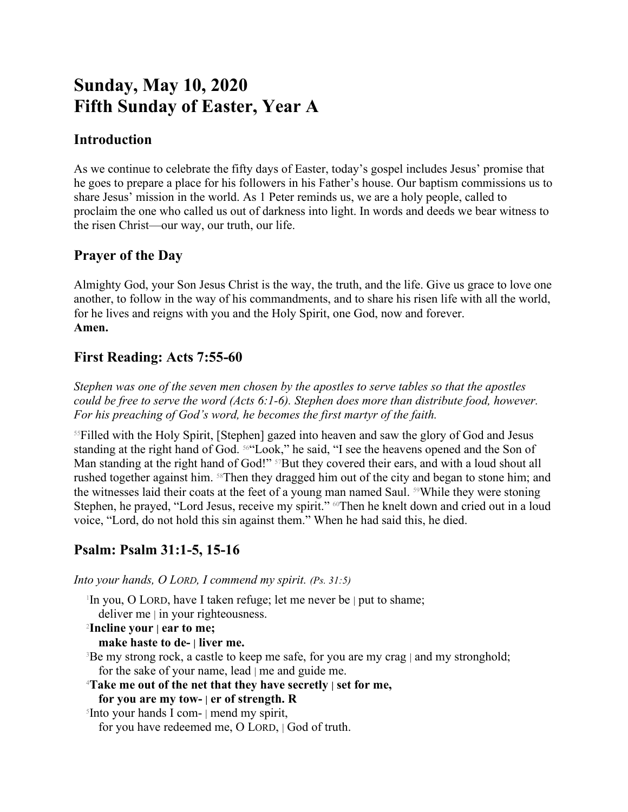# **Sunday, May 10, 2020 Fifth Sunday of Easter, Year A**

### **Introduction**

As we continue to celebrate the fifty days of Easter, today's gospel includes Jesus' promise that he goes to prepare a place for his followers in his Father's house. Our baptism commissions us to share Jesus' mission in the world. As 1 Peter reminds us, we are a holy people, called to proclaim the one who called us out of darkness into light. In words and deeds we bear witness to the risen Christ—our way, our truth, our life.

### **Prayer of the Day**

Almighty God, your Son Jesus Christ is the way, the truth, and the life. Give us grace to love one another, to follow in the way of his commandments, and to share his risen life with all the world, for he lives and reigns with you and the Holy Spirit, one God, now and forever. **Amen.**

## **First Reading: Acts 7:55-60**

*Stephen was one of the seven men chosen by the apostles to serve tables so that the apostles could be free to serve the word (Acts 6:1-6). Stephen does more than distribute food, however. For his preaching of God's word, he becomes the first martyr of the faith.*

<sup>55</sup>Filled with the Holy Spirit, [Stephen] gazed into heaven and saw the glory of God and Jesus standing at the right hand of God. 56"Look," he said, "I see the heavens opened and the Son of Man standing at the right hand of God!" <sup>57</sup>But they covered their ears, and with a loud shout all rushed together against him. 58Then they dragged him out of the city and began to stone him; and the witnesses laid their coats at the feet of a young man named Saul. <sup>59</sup>While they were stoning Stephen, he prayed, "Lord Jesus, receive my spirit." <sup>60</sup>Then he knelt down and cried out in a loud voice, "Lord, do not hold this sin against them." When he had said this, he died.

## **Psalm: Psalm 31:1-5, 15-16**

*Into your hands, O LORD, I commend my spirit. (Ps. 31:5)*

1 In you, O LORD, have I taken refuge; let me never be | put to shame;

deliver me | in your righteousness.

#### <sup>2</sup>**Incline your | ear to me;**

**make haste to de- | liver me.**

<sup>3</sup>Be my strong rock, a castle to keep me safe, for you are my crag | and my stronghold; for the sake of your name, lead | me and guide me.

<sup>4</sup>**Take me out of the net that they have secretly | set for me,**

#### **for you are my tow- | er of strength. R**

5 Into your hands I com- | mend my spirit, for you have redeemed me, O LORD, | God of truth.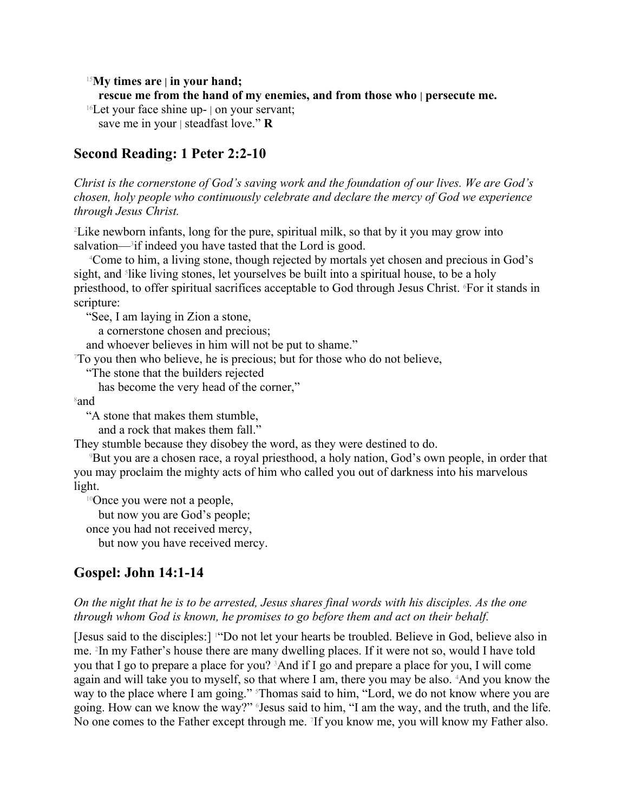<sup>15</sup>**My times are | in your hand;**

**rescue me from the hand of my enemies, and from those who | persecute me.**

 $16$ Let your face shine up- | on your servant;

save me in your | steadfast love." **R**

### **Second Reading: 1 Peter 2:2-10**

*Christ is the cornerstone of God's saving work and the foundation of our lives. We are God's chosen, holy people who continuously celebrate and declare the mercy of God we experience through Jesus Christ.*

<sup>2</sup>Like newborn infants, long for the pure, spiritual milk, so that by it you may grow into salvation—<sup>3</sup>if indeed you have tasted that the Lord is good.

<sup>4</sup>Come to him, a living stone, though rejected by mortals yet chosen and precious in God's sight, and <sup>5</sup>like living stones, let yourselves be built into a spiritual house, to be a holy priesthood, to offer spiritual sacrifices acceptable to God through Jesus Christ. 6For it stands in scripture:

"See, I am laying in Zion a stone,

a cornerstone chosen and precious;

and whoever believes in him will not be put to shame."

<sup>7</sup>To you then who believe, he is precious; but for those who do not believe,

"The stone that the builders rejected

has become the very head of the corner,"

<sup>8</sup>and

"A stone that makes them stumble,

and a rock that makes them fall."

They stumble because they disobey the word, as they were destined to do.

<sup>9</sup>But you are a chosen race, a royal priesthood, a holy nation, God's own people, in order that you may proclaim the mighty acts of him who called you out of darkness into his marvelous light.

<sup>10</sup>Once you were not a people,

but now you are God's people;

once you had not received mercy,

but now you have received mercy.

#### **Gospel: John 14:1-14**

#### *On the night that he is to be arrested, Jesus shares final words with his disciples. As the one through whom God is known, he promises to go before them and act on their behalf.*

[Jesus said to the disciples:] 1"Do not let your hearts be troubled. Believe in God, believe also in me. <sup>2</sup> In my Father's house there are many dwelling places. If it were not so, would I have told you that I go to prepare a place for you? 3And if I go and prepare a place for you, I will come again and will take you to myself, so that where I am, there you may be also. 4And you know the way to the place where I am going." Thomas said to him, "Lord, we do not know where you are going. How can we know the way?" 6Jesus said to him, "I am the way, and the truth, and the life. No one comes to the Father except through me. <sup>7</sup> If you know me, you will know my Father also.